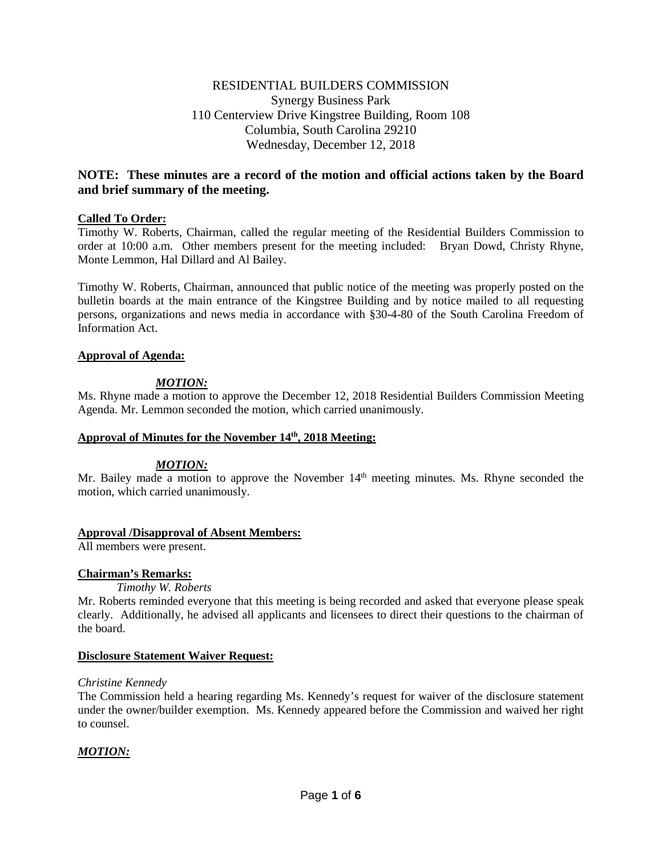# RESIDENTIAL BUILDERS COMMISSION Synergy Business Park 110 Centerview Drive Kingstree Building, Room 108 Columbia, South Carolina 29210 Wednesday, December 12, 2018

# **NOTE: These minutes are a record of the motion and official actions taken by the Board and brief summary of the meeting.**

## **Called To Order:**

Timothy W. Roberts, Chairman, called the regular meeting of the Residential Builders Commission to order at 10:00 a.m. Other members present for the meeting included: Bryan Dowd, Christy Rhyne, Monte Lemmon, Hal Dillard and Al Bailey.

Timothy W. Roberts, Chairman, announced that public notice of the meeting was properly posted on the bulletin boards at the main entrance of the Kingstree Building and by notice mailed to all requesting persons, organizations and news media in accordance with §30-4-80 of the South Carolina Freedom of Information Act.

### **Approval of Agenda:**

# *MOTION:*

Ms. Rhyne made a motion to approve the December 12, 2018 Residential Builders Commission Meeting Agenda. Mr. Lemmon seconded the motion, which carried unanimously.

### **Approval of Minutes for the November 14th, 2018 Meeting:**

### *MOTION:*

Mr. Bailey made a motion to approve the November  $14<sup>th</sup>$  meeting minutes. Ms. Rhyne seconded the motion, which carried unanimously.

### **Approval /Disapproval of Absent Members:**

All members were present.

### **Chairman's Remarks:**

*Timothy W. Roberts*

Mr. Roberts reminded everyone that this meeting is being recorded and asked that everyone please speak clearly. Additionally, he advised all applicants and licensees to direct their questions to the chairman of the board.

### **Disclosure Statement Waiver Request:**

### *Christine Kennedy*

The Commission held a hearing regarding Ms. Kennedy's request for waiver of the disclosure statement under the owner/builder exemption. Ms. Kennedy appeared before the Commission and waived her right to counsel.

# *MOTION:*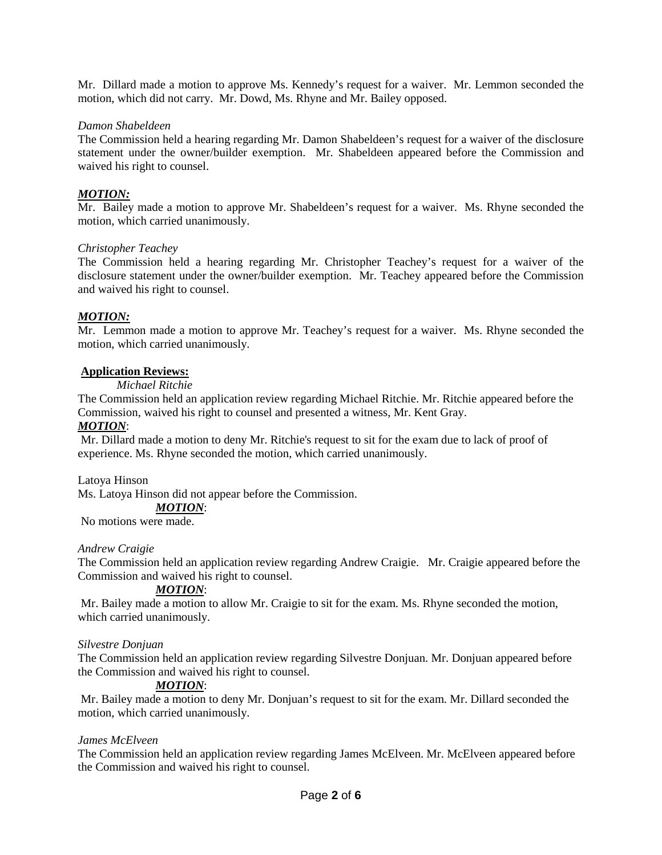Mr. Dillard made a motion to approve Ms. Kennedy's request for a waiver. Mr. Lemmon seconded the motion, which did not carry. Mr. Dowd, Ms. Rhyne and Mr. Bailey opposed.

### *Damon Shabeldeen*

The Commission held a hearing regarding Mr. Damon Shabeldeen's request for a waiver of the disclosure statement under the owner/builder exemption. Mr. Shabeldeen appeared before the Commission and waived his right to counsel.

# *MOTION:*

Mr. Bailey made a motion to approve Mr. Shabeldeen's request for a waiver. Ms. Rhyne seconded the motion, which carried unanimously.

### *Christopher Teachey*

The Commission held a hearing regarding Mr. Christopher Teachey's request for a waiver of the disclosure statement under the owner/builder exemption. Mr. Teachey appeared before the Commission and waived his right to counsel.

### *MOTION:*

Mr. Lemmon made a motion to approve Mr. Teachey's request for a waiver. Ms. Rhyne seconded the motion, which carried unanimously.

#### **Application Reviews:**

*Michael Ritchie*

The Commission held an application review regarding Michael Ritchie. Mr. Ritchie appeared before the Commission, waived his right to counsel and presented a witness, Mr. Kent Gray.

### *MOTION*:

Mr. Dillard made a motion to deny Mr. Ritchie's request to sit for the exam due to lack of proof of experience. Ms. Rhyne seconded the motion, which carried unanimously.

Latoya Hinson

Ms. Latoya Hinson did not appear before the Commission.

*MOTION*:

No motions were made.

#### *Andrew Craigie*

The Commission held an application review regarding Andrew Craigie. Mr. Craigie appeared before the Commission and waived his right to counsel.

### *MOTION*:

Mr. Bailey made a motion to allow Mr. Craigie to sit for the exam. Ms. Rhyne seconded the motion, which carried unanimously.

### *Silvestre Donjuan*

The Commission held an application review regarding Silvestre Donjuan. Mr. Donjuan appeared before the Commission and waived his right to counsel.

#### *MOTION*:

Mr. Bailey made a motion to deny Mr. Donjuan's request to sit for the exam. Mr. Dillard seconded the motion, which carried unanimously.

#### *James McElveen*

The Commission held an application review regarding James McElveen. Mr. McElveen appeared before the Commission and waived his right to counsel.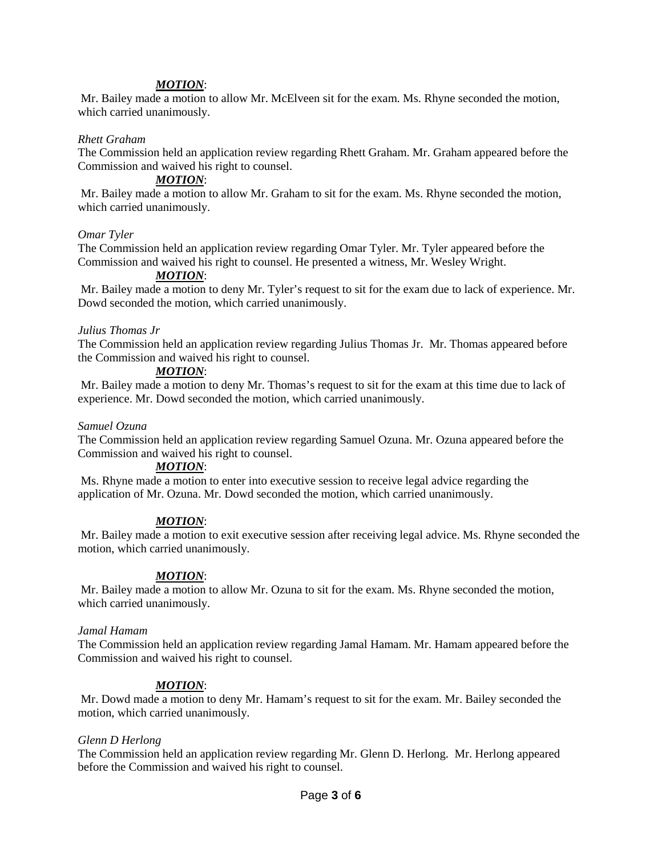### *MOTION*:

Mr. Bailey made a motion to allow Mr. McElveen sit for the exam. Ms. Rhyne seconded the motion, which carried unanimously.

#### *Rhett Graham*

The Commission held an application review regarding Rhett Graham. Mr. Graham appeared before the Commission and waived his right to counsel.

#### *MOTION*:

Mr. Bailey made a motion to allow Mr. Graham to sit for the exam. Ms. Rhyne seconded the motion, which carried unanimously.

#### *Omar Tyler*

The Commission held an application review regarding Omar Tyler. Mr. Tyler appeared before the Commission and waived his right to counsel. He presented a witness, Mr. Wesley Wright.

### *MOTION*:

Mr. Bailey made a motion to deny Mr. Tyler's request to sit for the exam due to lack of experience. Mr. Dowd seconded the motion, which carried unanimously.

#### *Julius Thomas Jr*

The Commission held an application review regarding Julius Thomas Jr. Mr. Thomas appeared before the Commission and waived his right to counsel.

#### *MOTION*:

Mr. Bailey made a motion to deny Mr. Thomas's request to sit for the exam at this time due to lack of experience. Mr. Dowd seconded the motion, which carried unanimously.

#### *Samuel Ozuna*

The Commission held an application review regarding Samuel Ozuna. Mr. Ozuna appeared before the Commission and waived his right to counsel.

#### *MOTION*:

Ms. Rhyne made a motion to enter into executive session to receive legal advice regarding the application of Mr. Ozuna. Mr. Dowd seconded the motion, which carried unanimously.

#### *MOTION*:

Mr. Bailey made a motion to exit executive session after receiving legal advice. Ms. Rhyne seconded the motion, which carried unanimously.

#### *MOTION*:

Mr. Bailey made a motion to allow Mr. Ozuna to sit for the exam. Ms. Rhyne seconded the motion, which carried unanimously.

#### *Jamal Hamam*

The Commission held an application review regarding Jamal Hamam. Mr. Hamam appeared before the Commission and waived his right to counsel.

#### *MOTION*:

Mr. Dowd made a motion to deny Mr. Hamam's request to sit for the exam. Mr. Bailey seconded the motion, which carried unanimously.

#### *Glenn D Herlong*

The Commission held an application review regarding Mr. Glenn D. Herlong. Mr. Herlong appeared before the Commission and waived his right to counsel.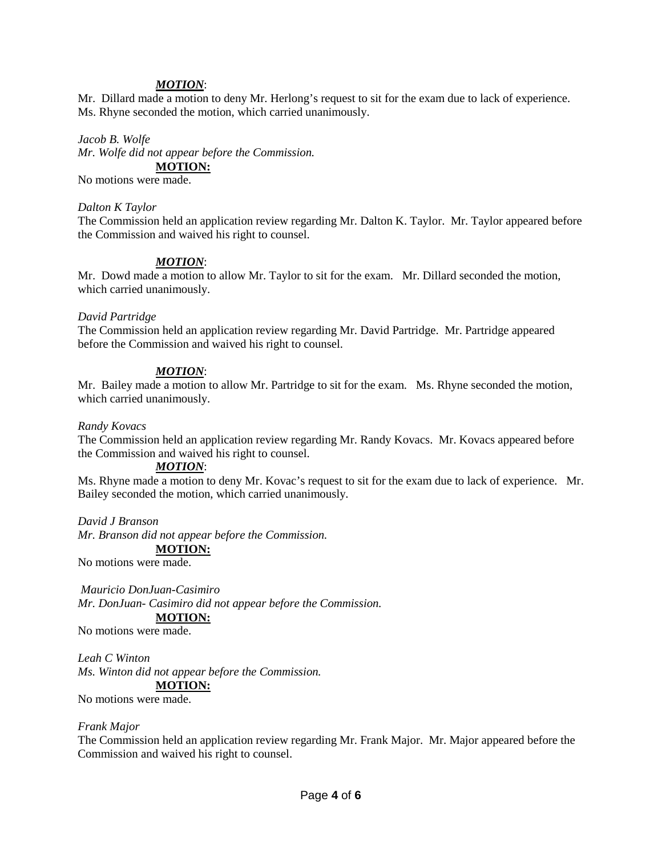#### *MOTION*:

Mr. Dillard made a motion to deny Mr. Herlong's request to sit for the exam due to lack of experience. Ms. Rhyne seconded the motion, which carried unanimously.

#### *Jacob B. Wolfe*

*Mr. Wolfe did not appear before the Commission.* **MOTION:**

No motions were made.

#### *Dalton K Taylor*

The Commission held an application review regarding Mr. Dalton K. Taylor. Mr. Taylor appeared before the Commission and waived his right to counsel.

### *MOTION*:

Mr. Dowd made a motion to allow Mr. Taylor to sit for the exam. Mr. Dillard seconded the motion, which carried unanimously.

#### *David Partridge*

The Commission held an application review regarding Mr. David Partridge. Mr. Partridge appeared before the Commission and waived his right to counsel.

### *MOTION*:

Mr. Bailey made a motion to allow Mr. Partridge to sit for the exam. Ms. Rhyne seconded the motion, which carried unanimously.

#### *Randy Kovacs*

The Commission held an application review regarding Mr. Randy Kovacs. Mr. Kovacs appeared before the Commission and waived his right to counsel.

#### *MOTION*:

Ms. Rhyne made a motion to deny Mr. Kovac's request to sit for the exam due to lack of experience. Mr. Bailey seconded the motion, which carried unanimously.

*David J Branson*

*Mr. Branson did not appear before the Commission.*

**MOTION:**

No motions were made.

*Mauricio DonJuan-Casimiro Mr. DonJuan- Casimiro did not appear before the Commission.* **MOTION:**

No motions were made.

*Leah C Winton Ms. Winton did not appear before the Commission.* **MOTION:**

No motions were made.

#### *Frank Major*

The Commission held an application review regarding Mr. Frank Major. Mr. Major appeared before the Commission and waived his right to counsel.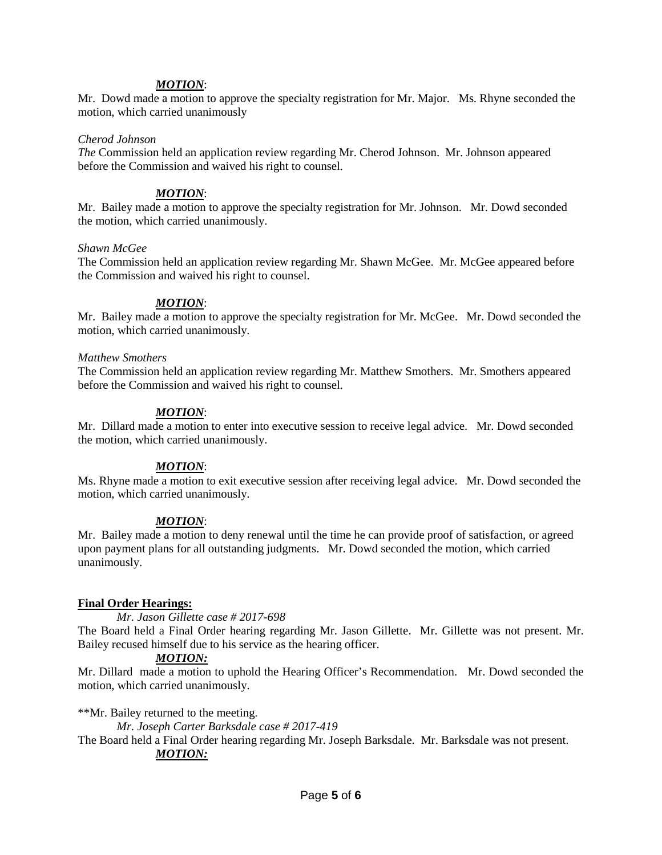### *MOTION*:

Mr. Dowd made a motion to approve the specialty registration for Mr. Major. Ms. Rhyne seconded the motion, which carried unanimously

#### *Cherod Johnson*

*The* Commission held an application review regarding Mr. Cherod Johnson. Mr. Johnson appeared before the Commission and waived his right to counsel.

### *MOTION*:

Mr. Bailey made a motion to approve the specialty registration for Mr. Johnson. Mr. Dowd seconded the motion, which carried unanimously.

### *Shawn McGee*

The Commission held an application review regarding Mr. Shawn McGee. Mr. McGee appeared before the Commission and waived his right to counsel.

### *MOTION*:

Mr. Bailey made a motion to approve the specialty registration for Mr. McGee. Mr. Dowd seconded the motion, which carried unanimously.

#### *Matthew Smothers*

The Commission held an application review regarding Mr. Matthew Smothers. Mr. Smothers appeared before the Commission and waived his right to counsel.

### *MOTION*:

Mr. Dillard made a motion to enter into executive session to receive legal advice. Mr. Dowd seconded the motion, which carried unanimously.

# *MOTION*:

Ms. Rhyne made a motion to exit executive session after receiving legal advice. Mr. Dowd seconded the motion, which carried unanimously.

### *MOTION*:

Mr. Bailey made a motion to deny renewal until the time he can provide proof of satisfaction, or agreed upon payment plans for all outstanding judgments. Mr. Dowd seconded the motion, which carried unanimously.

### **Final Order Hearings:**

*Mr. Jason Gillette case # 2017-698*

The Board held a Final Order hearing regarding Mr. Jason Gillette. Mr. Gillette was not present. Mr. Bailey recused himself due to his service as the hearing officer.

### *MOTION:*

Mr. Dillard made a motion to uphold the Hearing Officer's Recommendation. Mr. Dowd seconded the motion, which carried unanimously.

\*\*Mr. Bailey returned to the meeting.

*Mr. Joseph Carter Barksdale case # 2017-419*

The Board held a Final Order hearing regarding Mr. Joseph Barksdale. Mr. Barksdale was not present. *MOTION:*